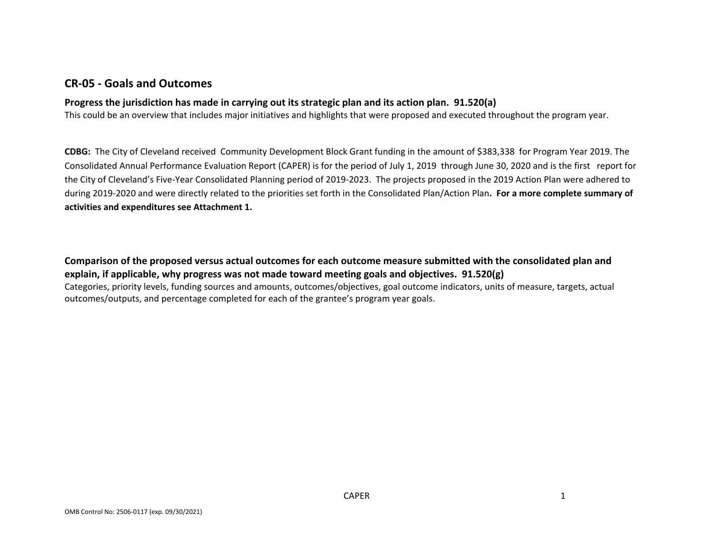## **CR‐05 ‐ Goals and Outcomes**

### **Progress the jurisdiction has made in carrying out its strategic plan and its action plan. 91.520(a)**

This could be an overview that includes major initiatives and highlights that were proposed and executed throughout the program year.

**CDBG:** The City of Cleveland received Community Development Block Grant funding in the amount of \$383,338 for Program Year 2019. The Consolidated Annual Performance Evaluation Report (CAPER) is for the period of July 1, 2019 through June 30, 2020 and is the first report for the City of Cleveland's Five‐Year Consolidated Planning period of 2019‐2023. The projects proposed in the 2019 Action Plan were adhered to during 2019‐2020 and were directly related to the priorities set forth in the Consolidated Plan/Action Plan**. For <sup>a</sup> more complete summary of activities and expenditures see Attachment 1.**

Comparison of the proposed versus actual outcomes for each outcome measure submitted with the consolidated plan and **explain, if applicable, why progress was not made toward meeting goals and objectives. 91.520(g)** Categories, priority levels, funding sources and amounts, outcomes/objectives, goal outcome indicators, units of measure, targets, actual outcomes/outputs, and percentage completed for each of the grantee's program year goals.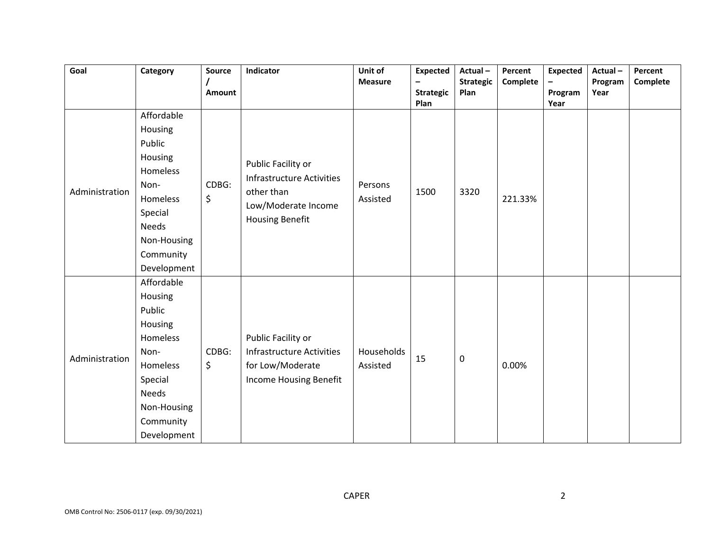| Goal           | Category                                                                                                                                         | <b>Source</b><br>Amount | Indicator                                                                                                             | Unit of<br><b>Measure</b> | <b>Expected</b><br>$\qquad \qquad -$<br><b>Strategic</b> | Actual-<br><b>Strategic</b><br>Plan | Percent<br>Complete | <b>Expected</b><br>$-$<br>Program | Actual-<br>Program<br>Year | Percent<br>Complete |
|----------------|--------------------------------------------------------------------------------------------------------------------------------------------------|-------------------------|-----------------------------------------------------------------------------------------------------------------------|---------------------------|----------------------------------------------------------|-------------------------------------|---------------------|-----------------------------------|----------------------------|---------------------|
| Administration | Affordable<br>Housing<br>Public<br>Housing<br>Homeless<br>Non-<br>Homeless<br>Special<br><b>Needs</b><br>Non-Housing<br>Community<br>Development | CDBG:<br>\$             | Public Facility or<br><b>Infrastructure Activities</b><br>other than<br>Low/Moderate Income<br><b>Housing Benefit</b> | Persons<br>Assisted       | Plan<br>1500                                             | 3320                                | 221.33%             | Year                              |                            |                     |
| Administration | Affordable<br>Housing<br>Public<br>Housing<br>Homeless<br>Non-<br>Homeless<br>Special<br><b>Needs</b><br>Non-Housing<br>Community<br>Development | CDBG:<br>\$             | Public Facility or<br><b>Infrastructure Activities</b><br>for Low/Moderate<br>Income Housing Benefit                  | Households<br>Assisted    | 15                                                       | $\mathbf 0$                         | 0.00%               |                                   |                            |                     |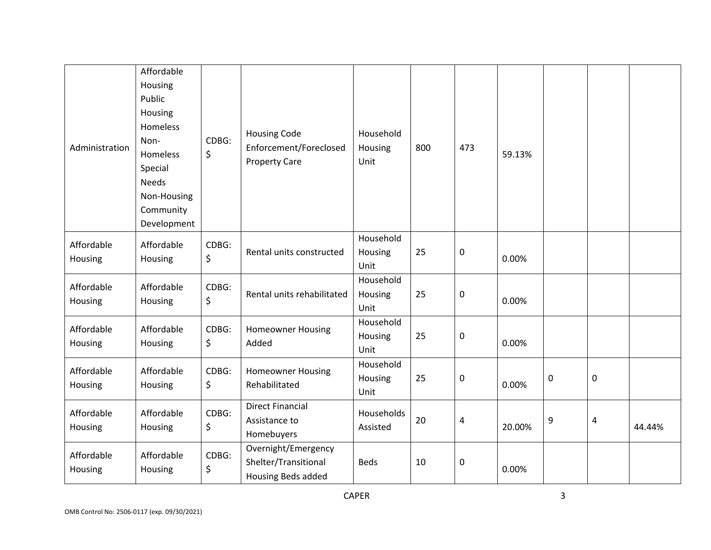| Administration        | Affordable<br>Housing<br>Public<br>Housing<br>Homeless<br>Non-<br><b>Homeless</b><br>Special<br><b>Needs</b><br>Non-Housing<br>Community<br>Development | CDBG:<br>\$ | <b>Housing Code</b><br>Enforcement/Foreclosed<br><b>Property Care</b> | Household<br>Housing<br>Unit | 800 | 473                     | 59.13% |   |                |        |
|-----------------------|---------------------------------------------------------------------------------------------------------------------------------------------------------|-------------|-----------------------------------------------------------------------|------------------------------|-----|-------------------------|--------|---|----------------|--------|
| Affordable<br>Housing | Affordable<br>Housing                                                                                                                                   | CDBG:<br>\$ | Rental units constructed                                              | Household<br>Housing<br>Unit | 25  | $\pmb{0}$               | 0.00%  |   |                |        |
| Affordable<br>Housing | Affordable<br>Housing                                                                                                                                   | CDBG:<br>\$ | Rental units rehabilitated                                            | Household<br>Housing<br>Unit | 25  | 0                       | 0.00%  |   |                |        |
| Affordable<br>Housing | Affordable<br>Housing                                                                                                                                   | CDBG:<br>\$ | <b>Homeowner Housing</b><br>Added                                     | Household<br>Housing<br>Unit | 25  | $\pmb{0}$               | 0.00%  |   |                |        |
| Affordable<br>Housing | Affordable<br>Housing                                                                                                                                   | CDBG:<br>\$ | <b>Homeowner Housing</b><br>Rehabilitated                             | Household<br>Housing<br>Unit | 25  | $\pmb{0}$               | 0.00%  | 0 | $\pmb{0}$      |        |
| Affordable<br>Housing | Affordable<br>Housing                                                                                                                                   | CDBG:<br>\$ | <b>Direct Financial</b><br>Assistance to<br>Homebuyers                | Households<br>Assisted       | 20  | $\overline{\mathbf{r}}$ | 20.00% | 9 | $\overline{4}$ | 44.44% |
| Affordable<br>Housing | Affordable<br>Housing                                                                                                                                   | CDBG:<br>\$ | Overnight/Emergency<br>Shelter/Transitional<br>Housing Beds added     | <b>Beds</b>                  | 10  | 0                       | 0.00%  |   |                |        |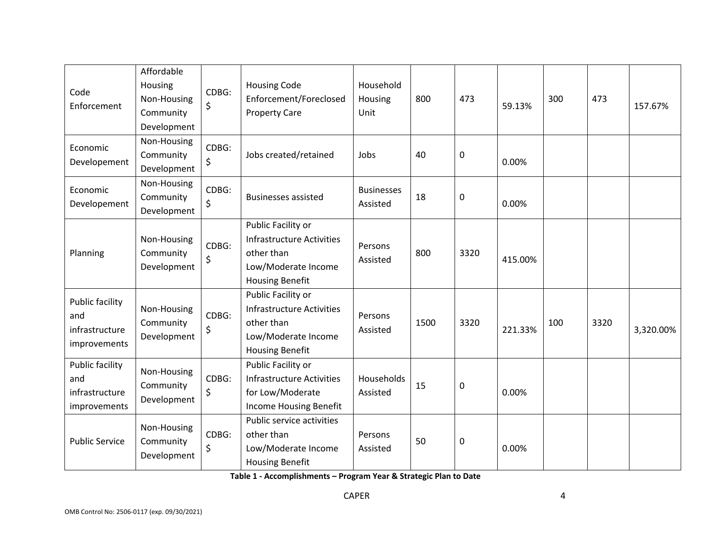| Code<br>Enforcement                                             | Affordable<br>Housing<br>Non-Housing<br>Community<br>Development | CDBG:<br>\$      | <b>Housing Code</b><br>Enforcement/Foreclosed<br><b>Property Care</b>                                                 | Household<br>Housing<br>Unit  | 800  | 473         | 59.13%  | 300 | 473  | 157.67%   |
|-----------------------------------------------------------------|------------------------------------------------------------------|------------------|-----------------------------------------------------------------------------------------------------------------------|-------------------------------|------|-------------|---------|-----|------|-----------|
| Economic<br>Developement                                        | Non-Housing<br>Community<br>Development                          | CDBG:<br>\$      | Jobs created/retained                                                                                                 | Jobs                          | 40   | $\pmb{0}$   | 0.00%   |     |      |           |
| Economic<br>Developement                                        | Non-Housing<br>Community<br>Development                          | CDBG:<br>\$      | <b>Businesses assisted</b>                                                                                            | <b>Businesses</b><br>Assisted | 18   | $\pmb{0}$   | 0.00%   |     |      |           |
| Planning                                                        | Non-Housing<br>Community<br>Development                          | CDBG:<br>\$      | Public Facility or<br><b>Infrastructure Activities</b><br>other than<br>Low/Moderate Income<br><b>Housing Benefit</b> | Persons<br>Assisted           | 800  | 3320        | 415.00% |     |      |           |
| <b>Public facility</b><br>and<br>infrastructure<br>improvements | Non-Housing<br>Community<br>Development                          | CDBG:            | Public Facility or<br><b>Infrastructure Activities</b><br>other than<br>Low/Moderate Income<br><b>Housing Benefit</b> | Persons<br>Assisted           | 1500 | 3320        | 221.33% | 100 | 3320 | 3,320.00% |
| <b>Public facility</b><br>and<br>infrastructure<br>improvements | Non-Housing<br>Community<br>Development                          | CDBG:<br>$\zeta$ | Public Facility or<br><b>Infrastructure Activities</b><br>for Low/Moderate<br>Income Housing Benefit                  | Households<br>Assisted        | 15   | $\mathbf 0$ | 0.00%   |     |      |           |
| <b>Public Service</b>                                           | Non-Housing<br>Community<br>Development                          | CDBG:<br>\$      | Public service activities<br>other than<br>Low/Moderate Income<br><b>Housing Benefit</b>                              | Persons<br>Assisted           | 50   | $\mathbf 0$ | 0.00%   |     |      |           |

**Table 1 ‐ Accomplishments – Program Year & Strategic Plan to Date**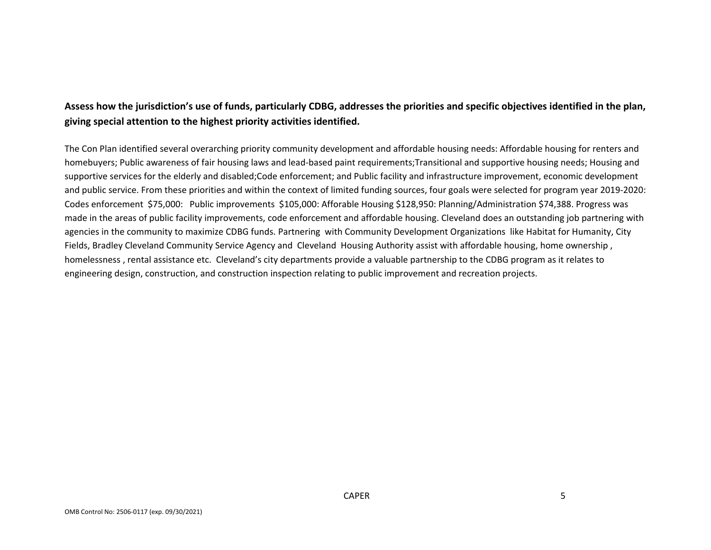## Assess how the jurisdiction's use of funds, particularly CDBG, addresses the priorities and specific objectives identified in the plan, **giving special attention to the highest priority activities identified.**

The Con Plan identified several overarching priority community development and affordable housing needs: Affordable housing for renters and homebuyers; Public awareness of fair housing laws and lead-based paint requirements; Transitional and supportive housing needs; Housing and supportive services for the elderly and disabled;Code enforcement; and Public facility and infrastructure improvement, economic development and public service. From these priorities and within the context of limited funding sources, four goals were selected for program year 2019‐2020: Codes enforcement \$75,000: Public improvements \$105,000: Afforable Housing \$128,950: Planning/Administration \$74,388. Progress was made in the areas of public facility improvements, code enforcement and affordable housing. Cleveland does an outstanding job partnering with agencies in the community to maximize CDBG funds. Partnering with Community Development Organizations like Habitat for Humanity, City Fields, Bradley Cleveland Community Service Agency and Cleveland Housing Authority assist with affordable housing, home ownership , homelessness , rental assistance etc. Cleveland's city departments provide <sup>a</sup> valuable partnership to the CDBG program as it relates to engineering design, construction, and construction inspection relating to public improvement and recreation projects.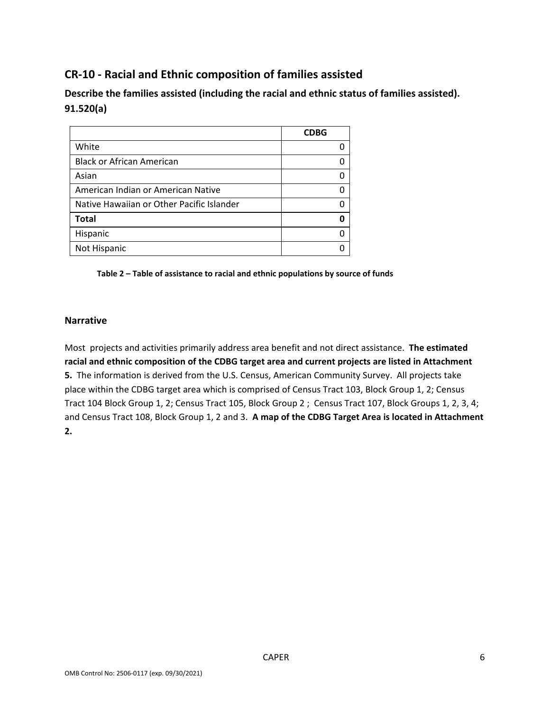# **CR‐10 ‐ Racial and Ethnic composition of families assisted**

**Describe the families assisted (including the racial and ethnic status of families assisted). 91.520(a)** 

|                                           | <b>CDBG</b> |
|-------------------------------------------|-------------|
| White                                     |             |
| <b>Black or African American</b>          |             |
| Asian                                     |             |
| American Indian or American Native        |             |
| Native Hawaiian or Other Pacific Islander |             |
| <b>Total</b>                              |             |
| Hispanic                                  |             |
| Not Hispanic                              |             |

**Table 2 – Table of assistance to racial and ethnic populations by source of funds** 

#### **Narrative**

Most projects and activities primarily address area benefit and not direct assistance. **The estimated racial and ethnic composition of the CDBG target area and current projects are listed in Attachment 5.** The information is derived from the U.S. Census, American Community Survey. All projects take place within the CDBG target area which is comprised of Census Tract 103, Block Group 1, 2; Census Tract 104 Block Group 1, 2; Census Tract 105, Block Group 2 ; Census Tract 107, Block Groups 1, 2, 3, 4; and Census Tract 108, Block Group 1, 2 and 3. **A map of the CDBG Target Area is located in Attachment 2.**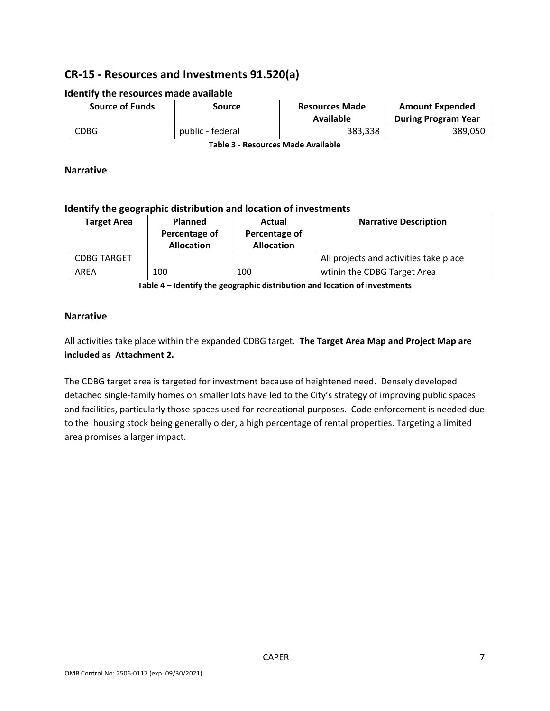# **CR‐15 ‐ Resources and Investments 91.520(a)**

| <b>Source of Funds</b> | Source           | <b>Resources Made</b><br>Available | <b>Amount Expended</b><br><b>During Program Year</b> |
|------------------------|------------------|------------------------------------|------------------------------------------------------|
| CDBG                   | public - federal | 383,338                            | 389,050                                              |

#### **Identify the resources made available**

**Table 3 ‐ Resources Made Available**

#### **Narrative**

#### **Identify the geographic distribution and location of investments**

| <b>Target Area</b> | <b>Planned</b><br>Percentage of<br><b>Allocation</b> | Actual<br>Percentage of<br><b>Allocation</b> | <b>Narrative Description</b>           |
|--------------------|------------------------------------------------------|----------------------------------------------|----------------------------------------|
| <b>CDBG TARGET</b> |                                                      |                                              | All projects and activities take place |
| AREA               | 100                                                  | 100                                          | wtinin the CDBG Target Area            |

**Table 4 – Identify the geographic distribution and location of investments**

### **Narrative**

All activities take place within the expanded CDBG target. **The Target Area Map and Project Map are included as Attachment 2.**

The CDBG target area is targeted for investment because of heightened need. Densely developed detached single‐family homes on smaller lots have led to the City's strategy of improving public spaces and facilities, particularly those spaces used for recreational purposes. Code enforcement is needed due to the housing stock being generally older, a high percentage of rental properties. Targeting a limited area promises a larger impact.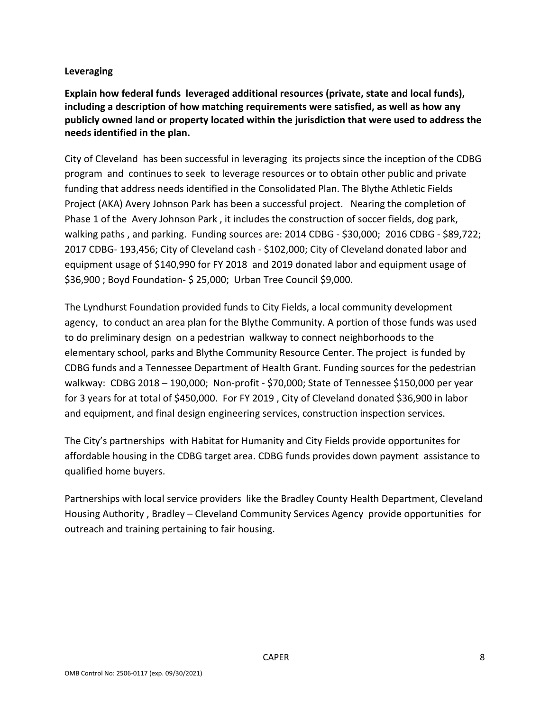### **Leveraging**

**Explain how federal funds leveraged additional resources (private, state and local funds), including a description of how matching requirements were satisfied, as well as how any publicly owned land or property located within the jurisdiction that were used to address the needs identified in the plan.**

City of Cleveland has been successful in leveraging its projects since the inception of the CDBG program and continues to seek to leverage resources or to obtain other public and private funding that address needs identified in the Consolidated Plan. The Blythe Athletic Fields Project (AKA) Avery Johnson Park has been a successful project. Nearing the completion of Phase 1 of the Avery Johnson Park , it includes the construction of soccer fields, dog park, walking paths , and parking. Funding sources are: 2014 CDBG ‐ \$30,000; 2016 CDBG ‐ \$89,722; 2017 CDBG‐ 193,456; City of Cleveland cash ‐ \$102,000; City of Cleveland donated labor and equipment usage of \$140,990 for FY 2018 and 2019 donated labor and equipment usage of \$36,900 ; Boyd Foundation‐ \$ 25,000; Urban Tree Council \$9,000.

The Lyndhurst Foundation provided funds to City Fields, a local community development agency, to conduct an area plan for the Blythe Community. A portion of those funds was used to do preliminary design on a pedestrian walkway to connect neighborhoods to the elementary school, parks and Blythe Community Resource Center. The project is funded by CDBG funds and a Tennessee Department of Health Grant. Funding sources for the pedestrian walkway: CDBG 2018 – 190,000; Non‐profit ‐ \$70,000; State of Tennessee \$150,000 per year for 3 years for at total of \$450,000. For FY 2019 , City of Cleveland donated \$36,900 in labor and equipment, and final design engineering services, construction inspection services.

The City's partnerships with Habitat for Humanity and City Fields provide opportunites for affordable housing in the CDBG target area. CDBG funds provides down payment assistance to qualified home buyers.

Partnerships with local service providers like the Bradley County Health Department, Cleveland Housing Authority , Bradley – Cleveland Community Services Agency provide opportunities for outreach and training pertaining to fair housing.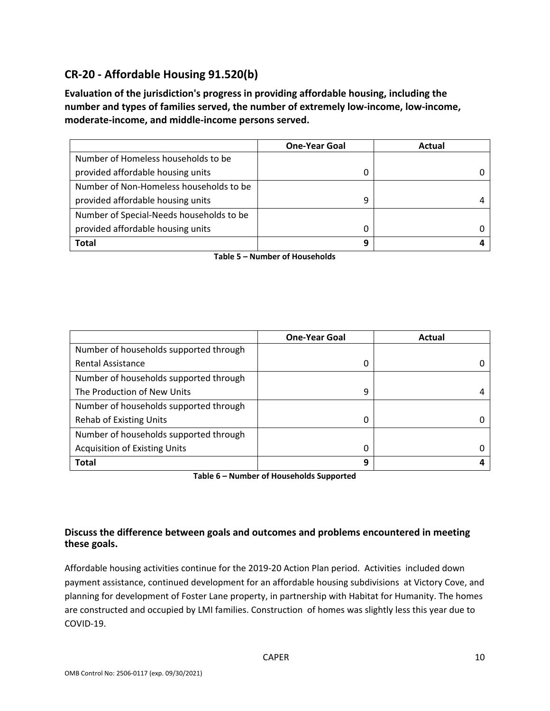# **CR‐20 ‐ Affordable Housing 91.520(b)**

**Evaluation of the jurisdiction's progress in providing affordable housing, including the number and types of families served, the number of extremely low‐income, low‐income, moderate‐income, and middle‐income persons served.**

|                                          | <b>One-Year Goal</b> | Actual |
|------------------------------------------|----------------------|--------|
| Number of Homeless households to be      |                      |        |
| provided affordable housing units        |                      |        |
| Number of Non-Homeless households to be  |                      |        |
| provided affordable housing units        | 9                    |        |
| Number of Special-Needs households to be |                      |        |
| provided affordable housing units        | 0                    |        |
| Total                                    | q                    |        |

**Table 5 – Number of Households**

|                                        | <b>One-Year Goal</b> | Actual |
|----------------------------------------|----------------------|--------|
| Number of households supported through |                      |        |
| <b>Rental Assistance</b>               | 0                    |        |
| Number of households supported through |                      |        |
| The Production of New Units            | 9                    |        |
| Number of households supported through |                      |        |
| <b>Rehab of Existing Units</b>         | 0                    |        |
| Number of households supported through |                      |        |
| <b>Acquisition of Existing Units</b>   | 0                    |        |
| <b>Total</b>                           | 9                    |        |

**Table 6 – Number of Households Supported**

### **Discuss the difference between goals and outcomes and problems encountered in meeting these goals.**

Affordable housing activities continue for the 2019‐20 Action Plan period. Activities included down payment assistance, continued development for an affordable housing subdivisions at Victory Cove, and planning for development of Foster Lane property, in partnership with Habitat for Humanity. The homes are constructed and occupied by LMI families. Construction of homes was slightly less this year due to COVID‐19.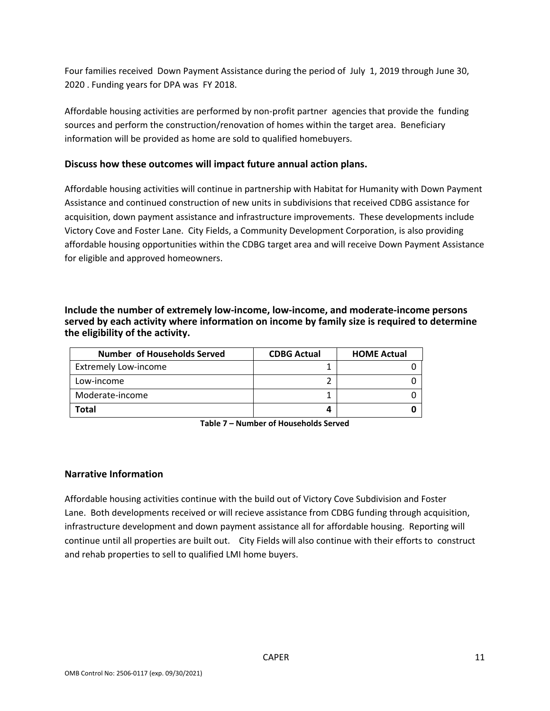Four families received Down Payment Assistance during the period of July 1, 2019 through June 30, 2020 . Funding years for DPA was FY 2018.

Affordable housing activities are performed by non‐profit partner agencies that provide the funding sources and perform the construction/renovation of homes within the target area. Beneficiary information will be provided as home are sold to qualified homebuyers.

#### **Discuss how these outcomes will impact future annual action plans.**

Affordable housing activities will continue in partnership with Habitat for Humanity with Down Payment Assistance and continued construction of new units in subdivisions that received CDBG assistance for acquisition, down payment assistance and infrastructure improvements. These developments include Victory Cove and Foster Lane. City Fields, a Community Development Corporation, is also providing affordable housing opportunities within the CDBG target area and will receive Down Payment Assistance for eligible and approved homeowners.

**Include the number of extremely low‐income, low‐income, and moderate‐income persons served by each activity where information on income by family size is required to determine the eligibility of the activity.**

| <b>Number of Households Served</b> | <b>CDBG Actual</b> | <b>HOME Actual</b> |
|------------------------------------|--------------------|--------------------|
| <b>Extremely Low-income</b>        |                    |                    |
| Low-income                         |                    |                    |
| Moderate-income                    |                    |                    |
| Total                              |                    |                    |

**Table 7 – Number of Households Served**

#### **Narrative Information**

Affordable housing activities continue with the build out of Victory Cove Subdivision and Foster Lane. Both developments received or will recieve assistance from CDBG funding through acquisition, infrastructure development and down payment assistance all for affordable housing. Reporting will continue until all properties are built out. City Fields will also continue with their efforts to construct and rehab properties to sell to qualified LMI home buyers.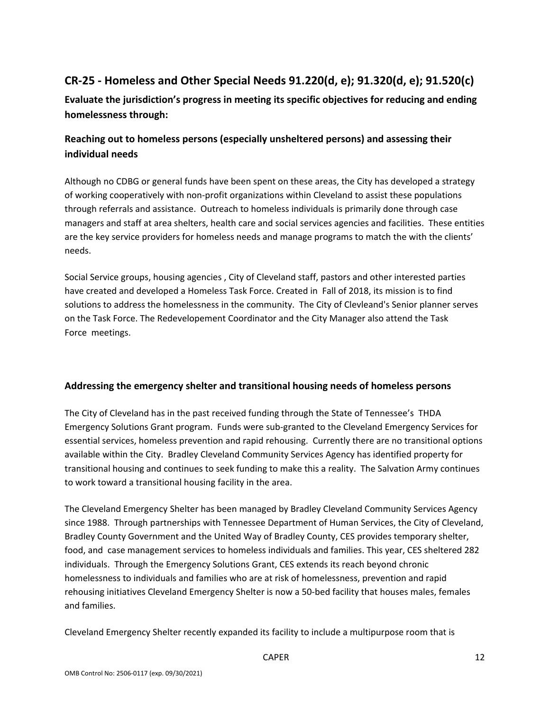# **CR‐25 ‐ Homeless and Other Special Needs 91.220(d, e); 91.320(d, e); 91.520(c)**

**Evaluate the jurisdiction's progress in meeting its specific objectives for reducing and ending homelessness through:**

# **Reaching out to homeless persons (especially unsheltered persons) and assessing their individual needs**

Although no CDBG or general funds have been spent on these areas, the City has developed a strategy of working cooperatively with non‐profit organizations within Cleveland to assist these populations through referrals and assistance. Outreach to homeless individuals is primarily done through case managers and staff at area shelters, health care and social services agencies and facilities. These entities are the key service providers for homeless needs and manage programs to match the with the clients' needs.

Social Service groups, housing agencies , City of Cleveland staff, pastors and other interested parties have created and developed a Homeless Task Force. Created in Fall of 2018, its mission is to find solutions to address the homelessness in the community. The City of Clevleand's Senior planner serves on the Task Force. The Redevelopement Coordinator and the City Manager also attend the Task Force meetings.

### **Addressing the emergency shelter and transitional housing needs of homeless persons**

The City of Cleveland has in the past received funding through the State of Tennessee's THDA Emergency Solutions Grant program. Funds were sub‐granted to the Cleveland Emergency Services for essential services, homeless prevention and rapid rehousing. Currently there are no transitional options available within the City. Bradley Cleveland Community Services Agency has identified property for transitional housing and continues to seek funding to make this a reality. The Salvation Army continues to work toward a transitional housing facility in the area.

The Cleveland Emergency Shelter has been managed by Bradley Cleveland Community Services Agency since 1988. Through partnerships with Tennessee Department of Human Services, the City of Cleveland, Bradley County Government and the United Way of Bradley County, CES provides temporary shelter, food, and case management services to homeless individuals and families. This year, CES sheltered 282 individuals. Through the Emergency Solutions Grant, CES extends its reach beyond chronic homelessness to individuals and families who are at risk of homelessness, prevention and rapid rehousing initiatives Cleveland Emergency Shelter is now a 50‐bed facility that houses males, females and families.

Cleveland Emergency Shelter recently expanded its facility to include a multipurpose room that is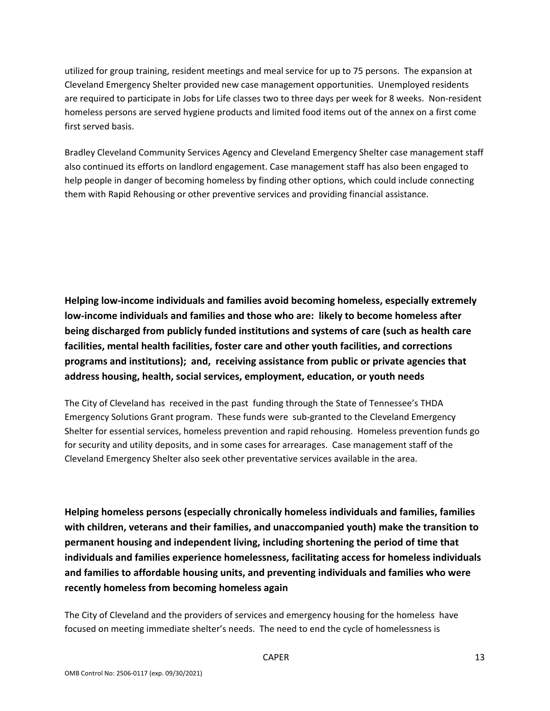utilized for group training, resident meetings and meal service for up to 75 persons. The expansion at Cleveland Emergency Shelter provided new case management opportunities. Unemployed residents are required to participate in Jobs for Life classes two to three days per week for 8 weeks. Non-resident homeless persons are served hygiene products and limited food items out of the annex on a first come first served basis.

Bradley Cleveland Community Services Agency and Cleveland Emergency Shelter case management staff also continued its efforts on landlord engagement. Case management staff has also been engaged to help people in danger of becoming homeless by finding other options, which could include connecting them with Rapid Rehousing or other preventive services and providing financial assistance.

**Helping low‐income individuals and families avoid becoming homeless, especially extremely low‐income individuals and families and those who are: likely to become homeless after being discharged from publicly funded institutions and systems of care (such as health care facilities, mental health facilities, foster care and other youth facilities, and corrections programs and institutions); and, receiving assistance from public or private agencies that address housing, health, social services, employment, education, or youth needs**

The City of Cleveland has received in the past funding through the State of Tennessee's THDA Emergency Solutions Grant program. These funds were sub‐granted to the Cleveland Emergency Shelter for essential services, homeless prevention and rapid rehousing. Homeless prevention funds go for security and utility deposits, and in some cases for arrearages. Case management staff of the Cleveland Emergency Shelter also seek other preventative services available in the area.

**Helping homeless persons (especially chronically homeless individuals and families, families with children, veterans and their families, and unaccompanied youth) make the transition to permanent housing and independent living, including shortening the period of time that individuals and families experience homelessness, facilitating access for homeless individuals and families to affordable housing units, and preventing individuals and families who were recently homeless from becoming homeless again**

The City of Cleveland and the providers of services and emergency housing for the homeless have focused on meeting immediate shelter's needs. The need to end the cycle of homelessness is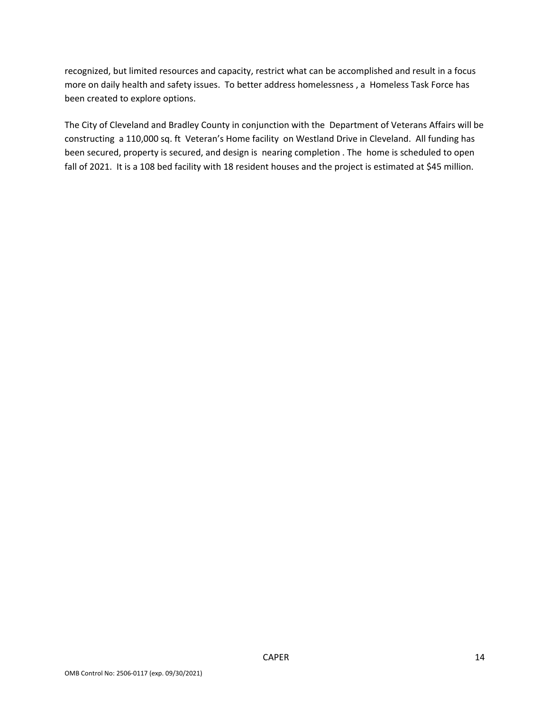recognized, but limited resources and capacity, restrict what can be accomplished and result in a focus more on daily health and safety issues. To better address homelessness , a Homeless Task Force has been created to explore options.

The City of Cleveland and Bradley County in conjunction with the Department of Veterans Affairs will be constructing a 110,000 sq. ft Veteran's Home facility on Westland Drive in Cleveland. All funding has been secured, property is secured, and design is nearing completion . The home is scheduled to open fall of 2021. It is a 108 bed facility with 18 resident houses and the project is estimated at \$45 million.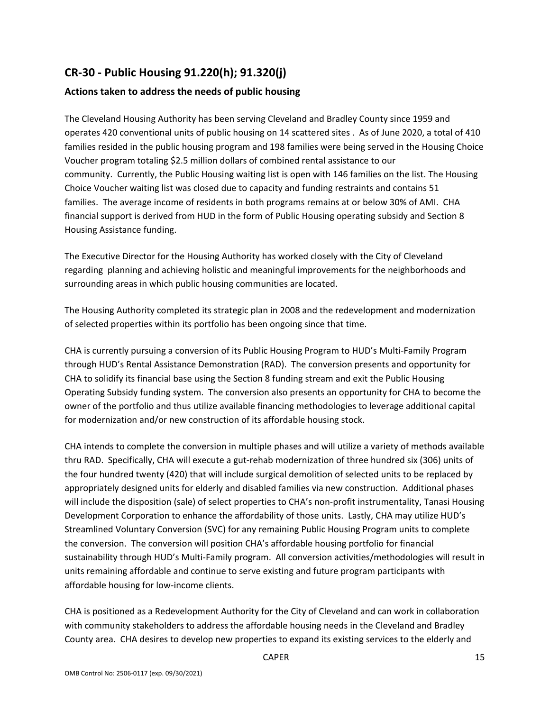# **CR‐30 ‐ Public Housing 91.220(h); 91.320(j)**

## **Actions taken to address the needs of public housing**

The Cleveland Housing Authority has been serving Cleveland and Bradley County since 1959 and operates 420 conventional units of public housing on 14 scattered sites . As of June 2020, a total of 410 families resided in the public housing program and 198 families were being served in the Housing Choice Voucher program totaling \$2.5 million dollars of combined rental assistance to our community. Currently, the Public Housing waiting list is open with 146 families on the list. The Housing Choice Voucher waiting list was closed due to capacity and funding restraints and contains 51 families. The average income of residents in both programs remains at or below 30% of AMI. CHA financial support is derived from HUD in the form of Public Housing operating subsidy and Section 8 Housing Assistance funding.

The Executive Director for the Housing Authority has worked closely with the City of Cleveland regarding planning and achieving holistic and meaningful improvements for the neighborhoods and surrounding areas in which public housing communities are located.

The Housing Authority completed its strategic plan in 2008 and the redevelopment and modernization of selected properties within its portfolio has been ongoing since that time.

CHA is currently pursuing a conversion of its Public Housing Program to HUD's Multi‐Family Program through HUD's Rental Assistance Demonstration (RAD). The conversion presents and opportunity for CHA to solidify its financial base using the Section 8 funding stream and exit the Public Housing Operating Subsidy funding system. The conversion also presents an opportunity for CHA to become the owner of the portfolio and thus utilize available financing methodologies to leverage additional capital for modernization and/or new construction of its affordable housing stock.

CHA intends to complete the conversion in multiple phases and will utilize a variety of methods available thru RAD. Specifically, CHA will execute a gut‐rehab modernization of three hundred six (306) units of the four hundred twenty (420) that will include surgical demolition of selected units to be replaced by appropriately designed units for elderly and disabled families via new construction. Additional phases will include the disposition (sale) of select properties to CHA's non-profit instrumentality, Tanasi Housing Development Corporation to enhance the affordability of those units. Lastly, CHA may utilize HUD's Streamlined Voluntary Conversion (SVC) for any remaining Public Housing Program units to complete the conversion. The conversion will position CHA's affordable housing portfolio for financial sustainability through HUD's Multi‐Family program. All conversion activities/methodologies will result in units remaining affordable and continue to serve existing and future program participants with affordable housing for low‐income clients.

CHA is positioned as a Redevelopment Authority for the City of Cleveland and can work in collaboration with community stakeholders to address the affordable housing needs in the Cleveland and Bradley County area. CHA desires to develop new properties to expand its existing services to the elderly and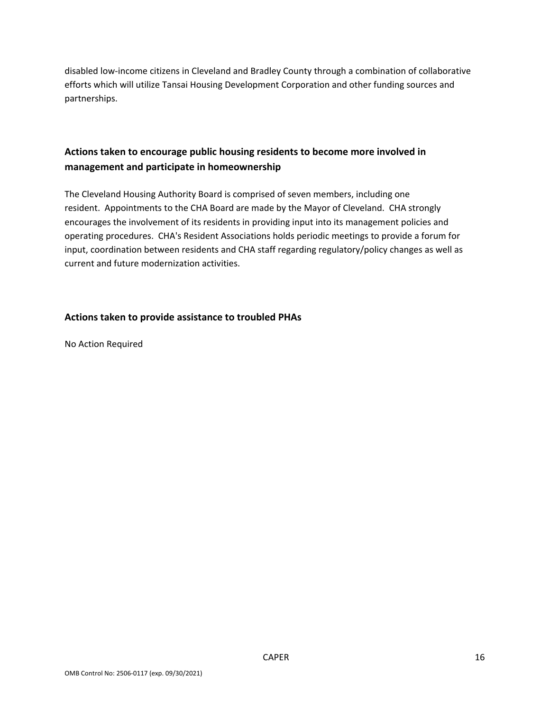disabled low‐income citizens in Cleveland and Bradley County through a combination of collaborative efforts which will utilize Tansai Housing Development Corporation and other funding sources and partnerships.

## **Actions taken to encourage public housing residents to become more involved in management and participate in homeownership**

The Cleveland Housing Authority Board is comprised of seven members, including one resident. Appointments to the CHA Board are made by the Mayor of Cleveland. CHA strongly encourages the involvement of its residents in providing input into its management policies and operating procedures. CHA's Resident Associations holds periodic meetings to provide a forum for input, coordination between residents and CHA staff regarding regulatory/policy changes as well as current and future modernization activities.

#### **Actions taken to provide assistance to troubled PHAs**

No Action Required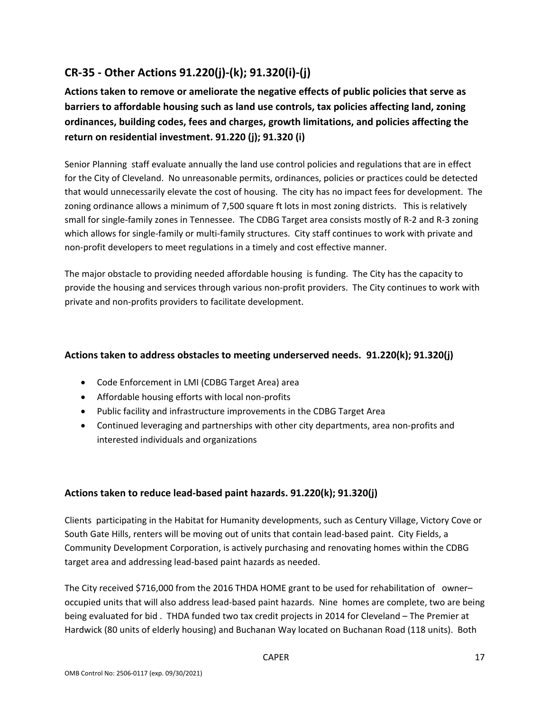# **CR‐35 ‐ Other Actions 91.220(j)‐(k); 91.320(i)‐(j)**

**Actions taken to remove or ameliorate the negative effects of public policies that serve as barriers to affordable housing such as land use controls, tax policies affecting land, zoning ordinances, building codes, fees and charges, growth limitations, and policies affecting the return on residential investment. 91.220 (j); 91.320 (i)**

Senior Planning staff evaluate annually the land use control policies and regulations that are in effect for the City of Cleveland. No unreasonable permits, ordinances, policies or practices could be detected that would unnecessarily elevate the cost of housing. The city has no impact fees for development. The zoning ordinance allows a minimum of 7,500 square ft lots in most zoning districts. This is relatively small for single‐family zones in Tennessee. The CDBG Target area consists mostly of R‐2 and R‐3 zoning which allows for single-family or multi-family structures. City staff continues to work with private and non‐profit developers to meet regulations in a timely and cost effective manner.

The major obstacle to providing needed affordable housing is funding. The City has the capacity to provide the housing and services through various non‐profit providers. The City continues to work with private and non‐profits providers to facilitate development.

## **Actions taken to address obstacles to meeting underserved needs. 91.220(k); 91.320(j)**

- Code Enforcement in LMI (CDBG Target Area) area
- Affordable housing efforts with local non-profits
- Public facility and infrastructure improvements in the CDBG Target Area
- Continued leveraging and partnerships with other city departments, area non-profits and interested individuals and organizations

### **Actions taken to reduce lead‐based paint hazards. 91.220(k); 91.320(j)**

Clients participating in the Habitat for Humanity developments, such as Century Village, Victory Cove or South Gate Hills, renters will be moving out of units that contain lead‐based paint. City Fields, a Community Development Corporation, is actively purchasing and renovating homes within the CDBG target area and addressing lead‐based paint hazards as needed.

The City received \$716,000 from the 2016 THDA HOME grant to be used for rehabilitation of owneroccupied units that will also address lead‐based paint hazards. Nine homes are complete, two are being being evaluated for bid . THDA funded two tax credit projects in 2014 for Cleveland – The Premier at Hardwick (80 units of elderly housing) and Buchanan Way located on Buchanan Road (118 units). Both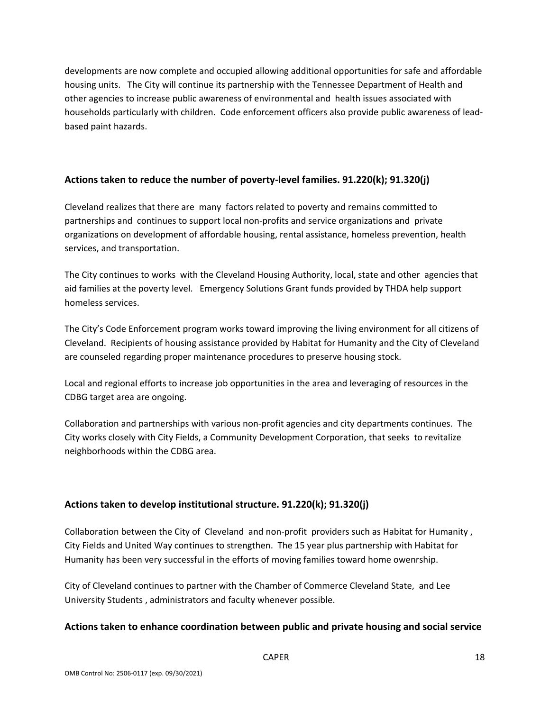developments are now complete and occupied allowing additional opportunities for safe and affordable housing units. The City will continue its partnership with the Tennessee Department of Health and other agencies to increase public awareness of environmental and health issues associated with households particularly with children. Code enforcement officers also provide public awareness of lead‐ based paint hazards.

### **Actions taken to reduce the number of poverty‐level families. 91.220(k); 91.320(j)**

Cleveland realizes that there are many factors related to poverty and remains committed to partnerships and continues to support local non‐profits and service organizations and private organizations on development of affordable housing, rental assistance, homeless prevention, health services, and transportation.

The City continues to works with the Cleveland Housing Authority, local, state and other agencies that aid families at the poverty level. Emergency Solutions Grant funds provided by THDA help support homeless services.

The City's Code Enforcement program works toward improving the living environment for all citizens of Cleveland. Recipients of housing assistance provided by Habitat for Humanity and the City of Cleveland are counseled regarding proper maintenance procedures to preserve housing stock.

Local and regional efforts to increase job opportunities in the area and leveraging of resources in the CDBG target area are ongoing.

Collaboration and partnerships with various non‐profit agencies and city departments continues. The City works closely with City Fields, a Community Development Corporation, that seeks to revitalize neighborhoods within the CDBG area.

### **Actions taken to develop institutional structure. 91.220(k); 91.320(j)**

Collaboration between the City of Cleveland and non-profit providers such as Habitat for Humanity, City Fields and United Way continues to strengthen. The 15 year plus partnership with Habitat for Humanity has been very successful in the efforts of moving families toward home owenrship.

City of Cleveland continues to partner with the Chamber of Commerce Cleveland State, and Lee University Students , administrators and faculty whenever possible.

#### **Actions taken to enhance coordination between public and private housing and social service**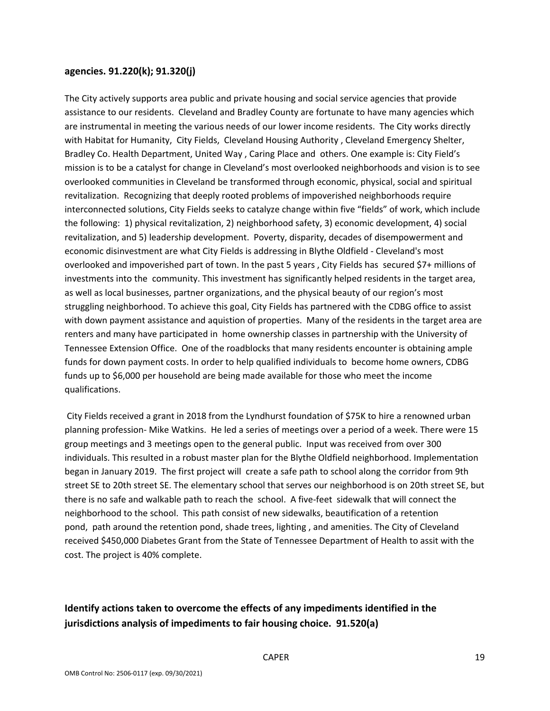#### **agencies. 91.220(k); 91.320(j)**

The City actively supports area public and private housing and social service agencies that provide assistance to our residents. Cleveland and Bradley County are fortunate to have many agencies which are instrumental in meeting the various needs of our lower income residents. The City works directly with Habitat for Humanity, City Fields, Cleveland Housing Authority, Cleveland Emergency Shelter, Bradley Co. Health Department, United Way , Caring Place and others. One example is: City Field's mission is to be a catalyst for change in Cleveland's most overlooked neighborhoods and vision is to see overlooked communities in Cleveland be transformed through economic, physical, social and spiritual revitalization. Recognizing that deeply rooted problems of impoverished neighborhoods require interconnected solutions, City Fields seeks to catalyze change within five "fields" of work, which include the following: 1) physical revitalization, 2) neighborhood safety, 3) economic development, 4) social revitalization, and 5) leadership development. Poverty, disparity, decades of disempowerment and economic disinvestment are what City Fields is addressing in Blythe Oldfield ‐ Cleveland's most overlooked and impoverished part of town. In the past 5 years , City Fields has secured \$7+ millions of investments into the community. This investment has significantly helped residents in the target area, as well as local businesses, partner organizations, and the physical beauty of our region's most struggling neighborhood. To achieve this goal, City Fields has partnered with the CDBG office to assist with down payment assistance and aquistion of properties. Many of the residents in the target area are renters and many have participated in home ownership classes in partnership with the University of Tennessee Extension Office. One of the roadblocks that many residents encounter is obtaining ample funds for down payment costs. In order to help qualified individuals to become home owners, CDBG funds up to \$6,000 per household are being made available for those who meet the income qualifications.

City Fields received a grant in 2018 from the Lyndhurst foundation of \$75K to hire a renowned urban planning profession‐ Mike Watkins. He led a series of meetings over a period of a week. There were 15 group meetings and 3 meetings open to the general public. Input was received from over 300 individuals. This resulted in a robust master plan for the Blythe Oldfield neighborhood. Implementation began in January 2019. The first project will create a safe path to school along the corridor from 9th street SE to 20th street SE. The elementary school that serves our neighborhood is on 20th street SE, but there is no safe and walkable path to reach the school. A five‐feet sidewalk that will connect the neighborhood to the school. This path consist of new sidewalks, beautification of a retention pond, path around the retention pond, shade trees, lighting , and amenities. The City of Cleveland received \$450,000 Diabetes Grant from the State of Tennessee Department of Health to assit with the cost. The project is 40% complete.

## **Identify actions taken to overcome the effects of any impediments identified in the jurisdictions analysis of impediments to fair housing choice. 91.520(a)**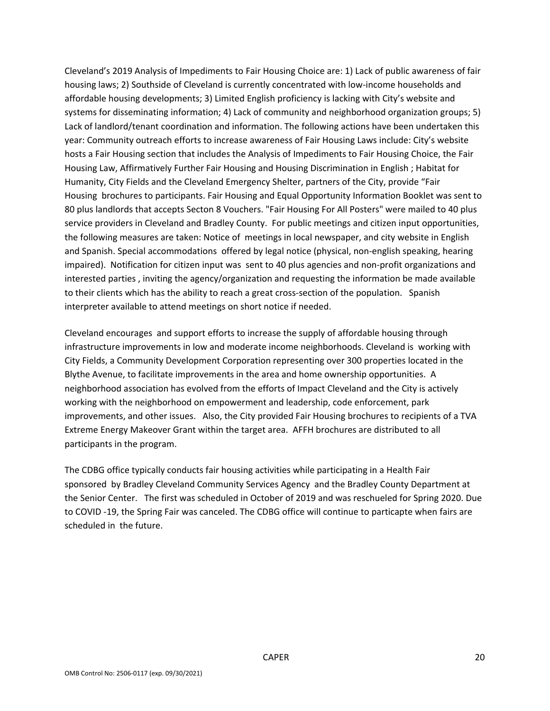Cleveland's 2019 Analysis of Impediments to Fair Housing Choice are: 1) Lack of public awareness of fair housing laws; 2) Southside of Cleveland is currently concentrated with low-income households and affordable housing developments; 3) Limited English proficiency is lacking with City's website and systems for disseminating information; 4) Lack of community and neighborhood organization groups; 5) Lack of landlord/tenant coordination and information. The following actions have been undertaken this year: Community outreach efforts to increase awareness of Fair Housing Laws include: City's website hosts a Fair Housing section that includes the Analysis of Impediments to Fair Housing Choice, the Fair Housing Law, Affirmatively Further Fair Housing and Housing Discrimination in English ; Habitat for Humanity, City Fields and the Cleveland Emergency Shelter, partners of the City, provide "Fair Housing brochures to participants. Fair Housing and Equal Opportunity Information Booklet was sent to 80 plus landlords that accepts Secton 8 Vouchers. "Fair Housing For All Posters" were mailed to 40 plus service providers in Cleveland and Bradley County. For public meetings and citizen input opportunities, the following measures are taken: Notice of meetings in local newspaper, and city website in English and Spanish. Special accommodations offered by legal notice (physical, non-english speaking, hearing impaired). Notification for citizen input was sent to 40 plus agencies and non-profit organizations and interested parties , inviting the agency/organization and requesting the information be made available to their clients which has the ability to reach a great cross-section of the population. Spanish interpreter available to attend meetings on short notice if needed.

Cleveland encourages and support efforts to increase the supply of affordable housing through infrastructure improvements in low and moderate income neighborhoods. Cleveland is working with City Fields, a Community Development Corporation representing over 300 properties located in the Blythe Avenue, to facilitate improvements in the area and home ownership opportunities. A neighborhood association has evolved from the efforts of Impact Cleveland and the City is actively working with the neighborhood on empowerment and leadership, code enforcement, park improvements, and other issues. Also, the City provided Fair Housing brochures to recipients of a TVA Extreme Energy Makeover Grant within the target area. AFFH brochures are distributed to all participants in the program.

The CDBG office typically conducts fair housing activities while participating in a Health Fair sponsored by Bradley Cleveland Community Services Agency and the Bradley County Department at the Senior Center. The first was scheduled in October of 2019 and was reschueled for Spring 2020. Due to COVID ‐19, the Spring Fair was canceled. The CDBG office will continue to particapte when fairs are scheduled in the future.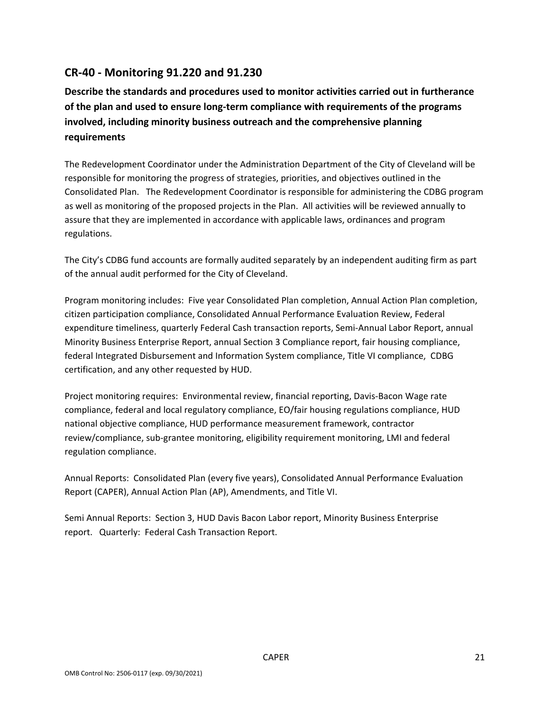# **CR‐40 ‐ Monitoring 91.220 and 91.230**

**Describe the standards and procedures used to monitor activities carried out in furtherance of the plan and used to ensure long‐term compliance with requirements of the programs involved, including minority business outreach and the comprehensive planning requirements**

The Redevelopment Coordinator under the Administration Department of the City of Cleveland will be responsible for monitoring the progress of strategies, priorities, and objectives outlined in the Consolidated Plan. The Redevelopment Coordinator is responsible for administering the CDBG program as well as monitoring of the proposed projects in the Plan. All activities will be reviewed annually to assure that they are implemented in accordance with applicable laws, ordinances and program regulations.

The City's CDBG fund accounts are formally audited separately by an independent auditing firm as part of the annual audit performed for the City of Cleveland.

Program monitoring includes: Five year Consolidated Plan completion, Annual Action Plan completion, citizen participation compliance, Consolidated Annual Performance Evaluation Review, Federal expenditure timeliness, quarterly Federal Cash transaction reports, Semi‐Annual Labor Report, annual Minority Business Enterprise Report, annual Section 3 Compliance report, fair housing compliance, federal Integrated Disbursement and Information System compliance, Title VI compliance, CDBG certification, and any other requested by HUD.

Project monitoring requires: Environmental review, financial reporting, Davis‐Bacon Wage rate compliance, federal and local regulatory compliance, EO/fair housing regulations compliance, HUD national objective compliance, HUD performance measurement framework, contractor review/compliance, sub‐grantee monitoring, eligibility requirement monitoring, LMI and federal regulation compliance.

Annual Reports: Consolidated Plan (every five years), Consolidated Annual Performance Evaluation Report (CAPER), Annual Action Plan (AP), Amendments, and Title VI.

Semi Annual Reports: Section 3, HUD Davis Bacon Labor report, Minority Business Enterprise report. Quarterly: Federal Cash Transaction Report.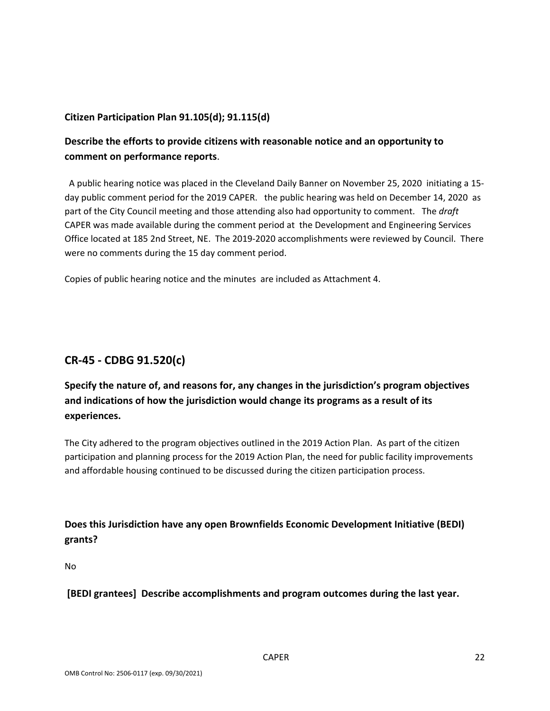### **Citizen Participation Plan 91.105(d); 91.115(d)**

## **Describe the efforts to provide citizens with reasonable notice and an opportunity to comment on performance reports**.

 A public hearing notice was placed in the Cleveland Daily Banner on November 25, 2020 initiating a 15‐ day public comment period for the 2019 CAPER. the public hearing was held on December 14, 2020 as part of the City Council meeting and those attending also had opportunity to comment. The *draft* CAPER was made available during the comment period at the Development and Engineering Services Office located at 185 2nd Street, NE. The 2019‐2020 accomplishments were reviewed by Council. There were no comments during the 15 day comment period.

Copies of public hearing notice and the minutes are included as Attachment 4.

# **CR‐45 ‐ CDBG 91.520(c)**

# **Specify the nature of, and reasons for, any changes in the jurisdiction's program objectives and indications of how the jurisdiction would change its programs as a result of its experiences.**

The City adhered to the program objectives outlined in the 2019 Action Plan. As part of the citizen participation and planning process for the 2019 Action Plan, the need for public facility improvements and affordable housing continued to be discussed during the citizen participation process.

## **Does this Jurisdiction have any open Brownfields Economic Development Initiative (BEDI) grants?**

No

**[BEDI grantees] Describe accomplishments and program outcomes during the last year.**